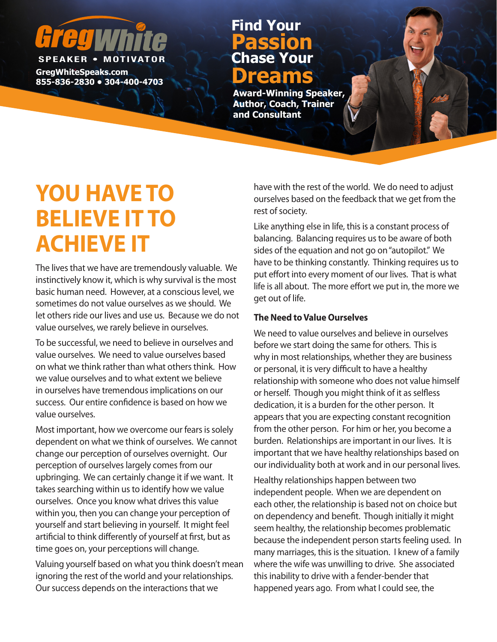# **SPEAKER • MOTIV**

**GregWhiteSpeaks.com Binders Reaks.com**<br>855-836-2830 • 304-400-4703

### **Chase Your Passion Find Your**

**Award-Winning Speaker, Author, Coach, Trainer and Consultant**

## **YOU HAVE TO BELIEVE IT TO ACHIEVE IT**

The lives that we have are tremendously valuable. We instinctively know it, which is why survival is the most basic human need. However, at a conscious level, we sometimes do not value ourselves as we should. We let others ride our lives and use us. Because we do not value ourselves, we rarely believe in ourselves.

To be successful, we need to believe in ourselves and value ourselves. We need to value ourselves based on what we think rather than what others think. How we value ourselves and to what extent we believe in ourselves have tremendous implications on our success. Our entire confidence is based on how we value ourselves.

Most important, how we overcome our fears is solely dependent on what we think of ourselves. We cannot change our perception of ourselves overnight. Our perception of ourselves largely comes from our upbringing. We can certainly change it if we want. It takes searching within us to identify how we value ourselves. Once you know what drives this value within you, then you can change your perception of yourself and start believing in yourself. It might feel artificial to think differently of yourself at first, but as time goes on, your perceptions will change.

Valuing yourself based on what you think doesn't mean ignoring the rest of the world and your relationships. Our success depends on the interactions that we

have with the rest of the world. We do need to adjust ourselves based on the feedback that we get from the rest of society.

Like anything else in life, this is a constant process of balancing. Balancing requires us to be aware of both sides of the equation and not go on "autopilot." We have to be thinking constantly. Thinking requires us to put effort into every moment of our lives. That is what life is all about. The more effort we put in, the more we get out of life.

#### **The Need to Value Ourselves**

We need to value ourselves and believe in ourselves before we start doing the same for others. This is why in most relationships, whether they are business or personal, it is very difficult to have a healthy relationship with someone who does not value himself or herself. Though you might think of it as selfless dedication, it is a burden for the other person. It appears that you are expecting constant recognition from the other person. For him or her, you become a burden. Relationships are important in our lives. It is important that we have healthy relationships based on our individuality both at work and in our personal lives.

Healthy relationships happen between two independent people. When we are dependent on each other, the relationship is based not on choice but on dependency and benefit. Though initially it might seem healthy, the relationship becomes problematic because the independent person starts feeling used. In many marriages, this is the situation. I knew of a family where the wife was unwilling to drive. She associated this inability to drive with a fender-bender that happened years ago. From what I could see, the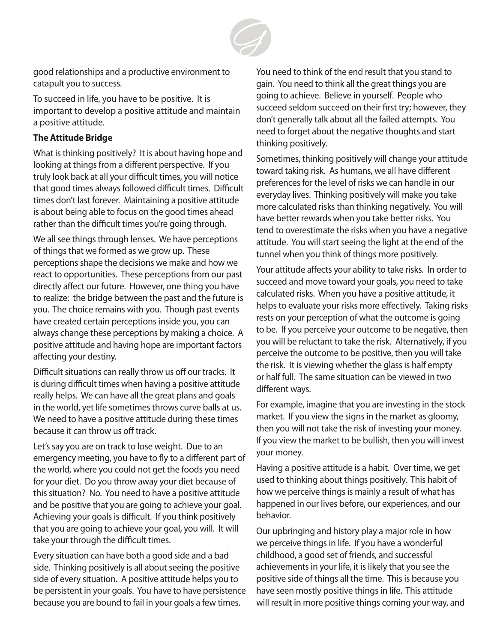

good relationships and a productive environment to catapult you to success.

To succeed in life, you have to be positive. It is important to develop a positive attitude and maintain a positive attitude.

#### **The Attitude Bridge**

What is thinking positively? It is about having hope and looking at things from a different perspective. If you truly look back at all your difficult times, you will notice that good times always followed difficult times. Difficult times don't last forever. Maintaining a positive attitude is about being able to focus on the good times ahead rather than the difficult times you're going through.

We all see things through lenses. We have perceptions of things that we formed as we grow up. These perceptions shape the decisions we make and how we react to opportunities. These perceptions from our past directly affect our future. However, one thing you have to realize: the bridge between the past and the future is you. The choice remains with you. Though past events have created certain perceptions inside you, you can always change these perceptions by making a choice. A positive attitude and having hope are important factors affecting your destiny.

Difficult situations can really throw us off our tracks. It is during difficult times when having a positive attitude really helps. We can have all the great plans and goals in the world, yet life sometimes throws curve balls at us. We need to have a positive attitude during these times because it can throw us off track.

Let's say you are on track to lose weight. Due to an emergency meeting, you have to fly to a different part of the world, where you could not get the foods you need for your diet. Do you throw away your diet because of this situation? No. You need to have a positive attitude and be positive that you are going to achieve your goal. Achieving your goals is difficult. If you think positively that you are going to achieve your goal, you will. It will take your through the difficult times.

Every situation can have both a good side and a bad side. Thinking positively is all about seeing the positive side of every situation. A positive attitude helps you to be persistent in your goals. You have to have persistence because you are bound to fail in your goals a few times.

You need to think of the end result that you stand to gain. You need to think all the great things you are going to achieve. Believe in yourself. People who succeed seldom succeed on their first try; however, they don't generally talk about all the failed attempts. You need to forget about the negative thoughts and start thinking positively.

Sometimes, thinking positively will change your attitude toward taking risk. As humans, we all have different preferences for the level of risks we can handle in our everyday lives. Thinking positively will make you take more calculated risks than thinking negatively. You will have better rewards when you take better risks. You tend to overestimate the risks when you have a negative attitude. You will start seeing the light at the end of the tunnel when you think of things more positively.

Your attitude affects your ability to take risks. In order to succeed and move toward your goals, you need to take calculated risks. When you have a positive attitude, it helps to evaluate your risks more effectively. Taking risks rests on your perception of what the outcome is going to be. If you perceive your outcome to be negative, then you will be reluctant to take the risk. Alternatively, if you perceive the outcome to be positive, then you will take the risk. It is viewing whether the glass is half empty or half full. The same situation can be viewed in two different ways.

For example, imagine that you are investing in the stock market. If you view the signs in the market as gloomy, then you will not take the risk of investing your money. If you view the market to be bullish, then you will invest your money.

Having a positive attitude is a habit. Over time, we get used to thinking about things positively. This habit of how we perceive things is mainly a result of what has happened in our lives before, our experiences, and our behavior.

Our upbringing and history play a major role in how we perceive things in life. If you have a wonderful childhood, a good set of friends, and successful achievements in your life, it is likely that you see the positive side of things all the time. This is because you have seen mostly positive things in life. This attitude will result in more positive things coming your way, and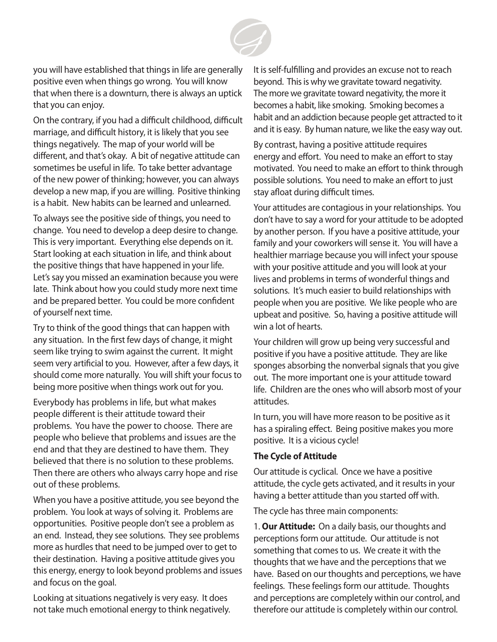

you will have established that things in life are generally positive even when things go wrong. You will know that when there is a downturn, there is always an uptick that you can enjoy.

On the contrary, if you had a difficult childhood, difficult marriage, and difficult history, it is likely that you see things negatively. The map of your world will be different, and that's okay. A bit of negative attitude can sometimes be useful in life. To take better advantage of the new power of thinking; however, you can always develop a new map, if you are willing. Positive thinking is a habit. New habits can be learned and unlearned.

To always see the positive side of things, you need to change. You need to develop a deep desire to change. This is very important. Everything else depends on it. Start looking at each situation in life, and think about the positive things that have happened in your life. Let's say you missed an examination because you were late. Think about how you could study more next time and be prepared better. You could be more confident of yourself next time.

Try to think of the good things that can happen with any situation. In the first few days of change, it might seem like trying to swim against the current. It might seem very artificial to you. However, after a few days, it should come more naturally. You will shift your focus to being more positive when things work out for you.

Everybody has problems in life, but what makes people different is their attitude toward their problems. You have the power to choose. There are people who believe that problems and issues are the end and that they are destined to have them. They believed that there is no solution to these problems. Then there are others who always carry hope and rise out of these problems.

When you have a positive attitude, you see beyond the problem. You look at ways of solving it. Problems are opportunities. Positive people don't see a problem as an end. Instead, they see solutions. They see problems more as hurdles that need to be jumped over to get to their destination. Having a positive attitude gives you this energy, energy to look beyond problems and issues and focus on the goal.

Looking at situations negatively is very easy. It does not take much emotional energy to think negatively. It is self-fulfilling and provides an excuse not to reach beyond. This is why we gravitate toward negativity. The more we gravitate toward negativity, the more it becomes a habit, like smoking. Smoking becomes a habit and an addiction because people get attracted to it and it is easy. By human nature, we like the easy way out.

By contrast, having a positive attitude requires energy and effort. You need to make an effort to stay motivated. You need to make an effort to think through possible solutions. You need to make an effort to just stay afloat during difficult times.

Your attitudes are contagious in your relationships. You don't have to say a word for your attitude to be adopted by another person. If you have a positive attitude, your family and your coworkers will sense it. You will have a healthier marriage because you will infect your spouse with your positive attitude and you will look at your lives and problems in terms of wonderful things and solutions. It's much easier to build relationships with people when you are positive. We like people who are upbeat and positive. So, having a positive attitude will win a lot of hearts.

Your children will grow up being very successful and positive if you have a positive attitude. They are like sponges absorbing the nonverbal signals that you give out. The more important one is your attitude toward life. Children are the ones who will absorb most of your attitudes.

In turn, you will have more reason to be positive as it has a spiraling effect. Being positive makes you more positive. It is a vicious cycle!

#### **The Cycle of Attitude**

Our attitude is cyclical. Once we have a positive attitude, the cycle gets activated, and it results in your having a better attitude than you started off with.

The cycle has three main components:

1. **Our Attitude:** On a daily basis, our thoughts and perceptions form our attitude. Our attitude is not something that comes to us. We create it with the thoughts that we have and the perceptions that we have. Based on our thoughts and perceptions, we have feelings. These feelings form our attitude. Thoughts and perceptions are completely within our control, and therefore our attitude is completely within our control.